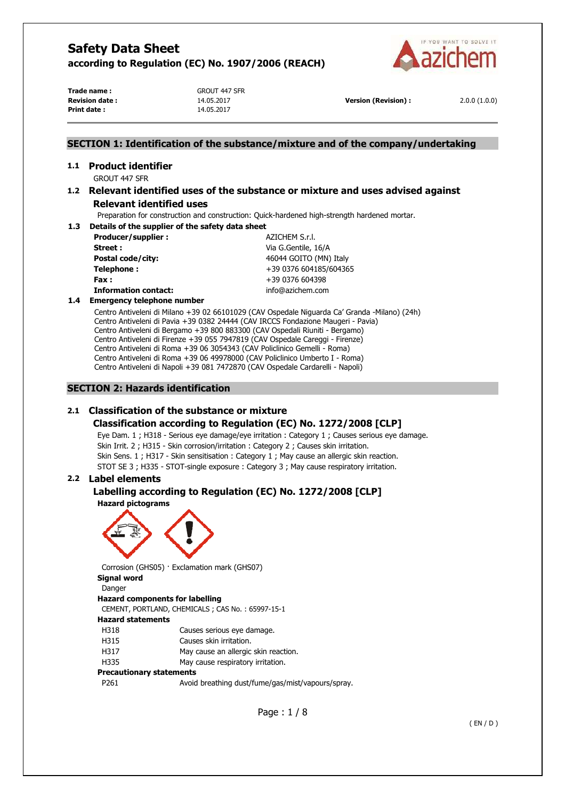

**Trade name :** GROUT 447 SFR **Print date :** 14.05.2017

**Revision date :** 14.05.2017 **Version (Revision) :** 2.0.0 (1.0.0)

# **SECTION 1: Identification of the substance/mixture and of the company/undertaking**

#### **1.1 Product identifier**  GROUT 447 SFR

# **1.2 Relevant identified uses of the substance or mixture and uses advised against Relevant identified uses**

Preparation for construction and construction: Quick-hardened high-strength hardened mortar.

# **1.3 Details of the supplier of the safety data sheet Producer/supplier :**  $AZICHEM S.r.l.$

**Street :** Via G.Gentile, 16/A **Postal code/city:**  $46044 \text{ GOITO (MN) Italy}$ **Telephone :**  $+39\,0376\,604185/604365$ **Fax :** +39 0376 604398 **Information contact:** info@azichem.com

### **1.4 Emergency telephone number**

Centro Antiveleni di Milano +39 02 66101029 (CAV Ospedale Niguarda Ca' Granda -Milano) (24h) Centro Antiveleni di Pavia +39 0382 24444 (CAV IRCCS Fondazione Maugeri - Pavia) Centro Antiveleni di Bergamo +39 800 883300 (CAV Ospedali Riuniti - Bergamo) Centro Antiveleni di Firenze +39 055 7947819 (CAV Ospedale Careggi - Firenze) Centro Antiveleni di Roma +39 06 3054343 (CAV Policlinico Gemelli - Roma) Centro Antiveleni di Roma +39 06 49978000 (CAV Policlinico Umberto I - Roma) Centro Antiveleni di Napoli +39 081 7472870 (CAV Ospedale Cardarelli - Napoli)

# **SECTION 2: Hazards identification**

# **2.1 Classification of the substance or mixture**

# **Classification according to Regulation (EC) No. 1272/2008 [CLP]**

Eye Dam. 1 ; H318 - Serious eye damage/eye irritation : Category 1 ; Causes serious eye damage. Skin Irrit. 2 ; H315 - Skin corrosion/irritation : Category 2 ; Causes skin irritation. Skin Sens. 1 ; H317 - Skin sensitisation : Category 1 ; May cause an allergic skin reaction. STOT SE 3 ; H335 - STOT-single exposure : Category 3 ; May cause respiratory irritation.

# **2.2 Label elements**

#### **Labelling according to Regulation (EC) No. 1272/2008 [CLP] Hazard pictograms**



Corrosion (GHS05) · Exclamation mark (GHS07) **Signal word** 

Danger **Hazard components for labelling**  CEMENT, PORTLAND, CHEMICALS ; CAS No. : 65997-15-1 **Hazard statements**  H318 Causes serious eye damage. H315 Causes skin irritation. H317 May cause an allergic skin reaction. H335 May cause respiratory irritation. **Precautionary statements** 

| P261 | Avoid breathing dust/fume/gas/mist/vapours/spray. |
|------|---------------------------------------------------|
|------|---------------------------------------------------|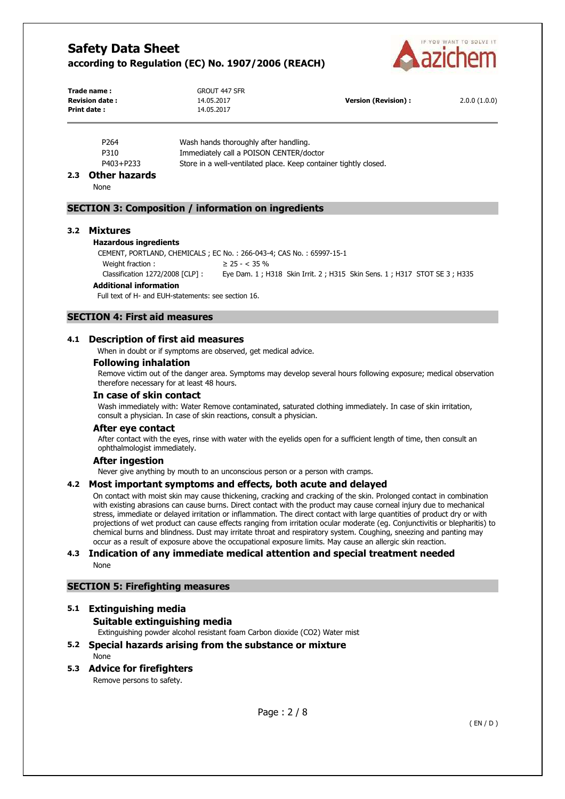

| Trade name:            | <b>GROUT 447 SFR</b> |                      |              |
|------------------------|----------------------|----------------------|--------------|
| <b>Revision date :</b> | 14.05.2017           | Version (Revision) : | 2.0.0(1.0.0) |
| Print date:            | 14.05.2017           |                      |              |

| Immediately call a POISON CENTER/doctor<br>P310 | P <sub>264</sub> | Wash hands thoroughly after handling.                            |
|-------------------------------------------------|------------------|------------------------------------------------------------------|
|                                                 |                  |                                                                  |
| P403+P233                                       |                  | Store in a well-ventilated place. Keep container tightly closed. |

#### **2.3 Other hazards**

None

### **SECTION 3: Composition / information on ingredients**

#### **3.2 Mixtures**

#### **Hazardous ingredients**

CEMENT, PORTLAND, CHEMICALS ; EC No. : 266-043-4; CAS No. : 65997-15-1 Weight fraction :  $\geq 25 - < 35 \%$ 

Classification 1272/2008 [CLP] : Eye Dam. 1 ; H318 Skin Irrit. 2 ; H315 Skin Sens. 1 ; H317 STOT SE 3 ; H335

#### **Additional information**

Full text of H- and EUH-statements: see section 16.

# **SECTION 4: First aid measures**

#### **4.1 Description of first aid measures**

When in doubt or if symptoms are observed, get medical advice.

#### **Following inhalation**

Remove victim out of the danger area. Symptoms may develop several hours following exposure; medical observation therefore necessary for at least 48 hours.

# **In case of skin contact**

Wash immediately with: Water Remove contaminated, saturated clothing immediately. In case of skin irritation, consult a physician. In case of skin reactions, consult a physician.

#### **After eye contact**

After contact with the eyes, rinse with water with the eyelids open for a sufficient length of time, then consult an ophthalmologist immediately.

#### **After ingestion**

Never give anything by mouth to an unconscious person or a person with cramps.

#### **4.2 Most important symptoms and effects, both acute and delayed**

On contact with moist skin may cause thickening, cracking and cracking of the skin. Prolonged contact in combination with existing abrasions can cause burns. Direct contact with the product may cause corneal injury due to mechanical stress, immediate or delayed irritation or inflammation. The direct contact with large quantities of product dry or with projections of wet product can cause effects ranging from irritation ocular moderate (eg. Conjunctivitis or blepharitis) to chemical burns and blindness. Dust may irritate throat and respiratory system. Coughing, sneezing and panting may occur as a result of exposure above the occupational exposure limits. May cause an allergic skin reaction.

#### **4.3 Indication of any immediate medical attention and special treatment needed**  None

#### **SECTION 5: Firefighting measures**

#### **5.1 Extinguishing media**

### **Suitable extinguishing media**

Extinguishing powder alcohol resistant foam Carbon dioxide (CO2) Water mist

# **5.2 Special hazards arising from the substance or mixture**

None

# **5.3 Advice for firefighters**

Remove persons to safety.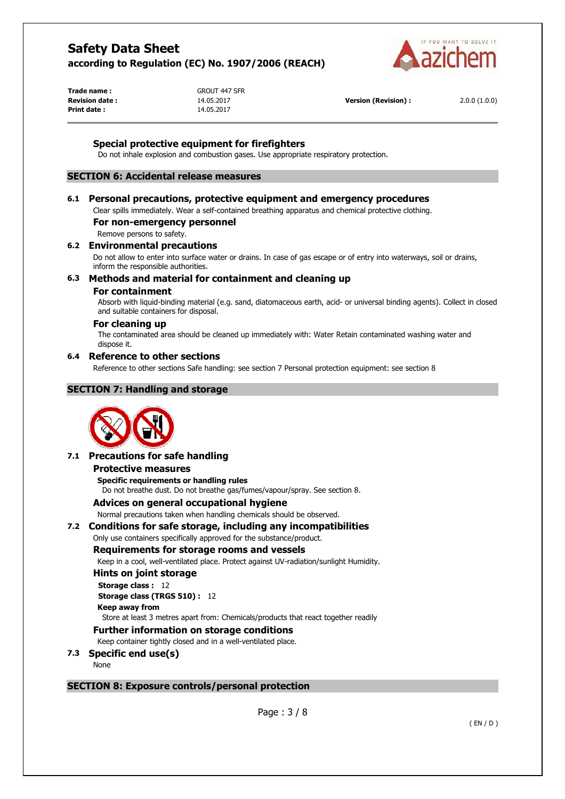

**Trade name :** GROUT 447 SFR **Print date :** 14.05.2017

**Revision date :** 14.05.2017 **Version (Revision) :** 2.0.0 (1.0.0)

# **Special protective equipment for firefighters**

Do not inhale explosion and combustion gases. Use appropriate respiratory protection.

# **SECTION 6: Accidental release measures**

### **6.1 Personal precautions, protective equipment and emergency procedures**

Clear spills immediately. Wear a self-contained breathing apparatus and chemical protective clothing.

# **For non-emergency personnel**

Remove persons to safety.

#### **6.2 Environmental precautions**

Do not allow to enter into surface water or drains. In case of gas escape or of entry into waterways, soil or drains, inform the responsible authorities.

# **6.3 Methods and material for containment and cleaning up**

#### **For containment**

Absorb with liquid-binding material (e.g. sand, diatomaceous earth, acid- or universal binding agents). Collect in closed and suitable containers for disposal.

#### **For cleaning up**

The contaminated area should be cleaned up immediately with: Water Retain contaminated washing water and dispose it.

#### **6.4 Reference to other sections**

Reference to other sections Safe handling: see section 7 Personal protection equipment: see section 8

### **SECTION 7: Handling and storage**



#### **7.1 Precautions for safe handling**

#### **Protective measures**

**Specific requirements or handling rules**  Do not breathe dust. Do not breathe gas/fumes/vapour/spray. See section 8.

**Advices on general occupational hygiene** 

Normal precautions taken when handling chemicals should be observed.

#### **7.2 Conditions for safe storage, including any incompatibilities**

Only use containers specifically approved for the substance/product.

#### **Requirements for storage rooms and vessels**

Keep in a cool, well-ventilated place. Protect against UV-radiation/sunlight Humidity.

#### **Hints on joint storage**

**Storage class :** 12 **Storage class (TRGS 510) :** 12 **Keep away from** 

Store at least 3 metres apart from: Chemicals/products that react together readily

# **Further information on storage conditions**

Keep container tightly closed and in a well-ventilated place.

- **7.3 Specific end use(s)** 
	- None

# **SECTION 8: Exposure controls/personal protection**

Page : 3 / 8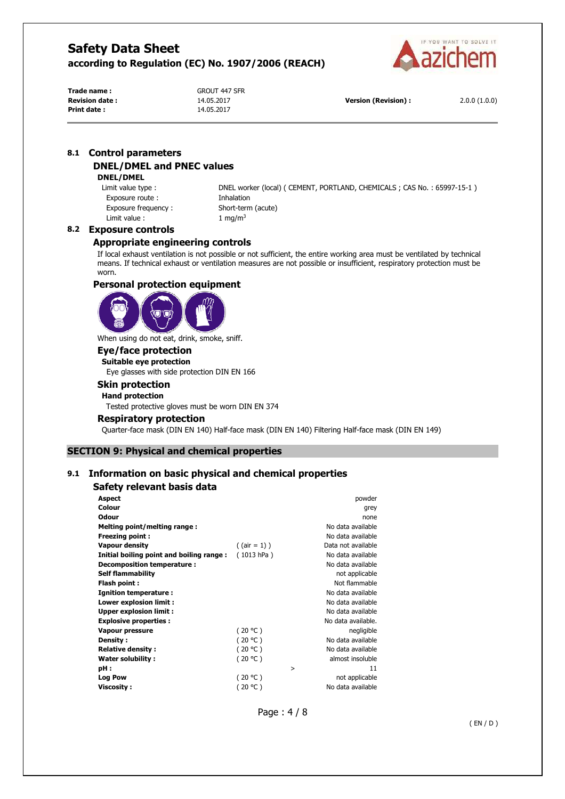

**Trade name :** GROUT 447 SFR **Print date :** 14.05.2017

**Revision date :** 14.05.2017 **Version (Revision) :** 2.0.0 (1.0.0)

# **8.1 Control parameters DNEL/DMEL and PNEC values**

#### **DNEL/DMEL**

Exposure route : **Inhalation** Exposure frequency : Short-term (acute) Limit value :  $1 \text{ mg/m}^3$ 

Limit value type : DNEL worker (local) ( CEMENT, PORTLAND, CHEMICALS ; CAS No. : 65997-15-1 )

# **8.2 Exposure controls**

### **Appropriate engineering controls**

If local exhaust ventilation is not possible or not sufficient, the entire working area must be ventilated by technical means. If technical exhaust or ventilation measures are not possible or insufficient, respiratory protection must be worn.

### **Personal protection equipment**



When using do not eat, drink, smoke, sniff.

# **Eye/face protection**

**Suitable eye protection**  Eye glasses with side protection DIN EN 166

# **Skin protection**

# **Hand protection**

Tested protective gloves must be worn DIN EN 374

#### **Respiratory protection**

Quarter-face mask (DIN EN 140) Half-face mask (DIN EN 140) Filtering Half-face mask (DIN EN 149)

### **SECTION 9: Physical and chemical properties**

# **9.1 Information on basic physical and chemical properties**

### **Safety relevant basis data**

| <b>Aspect</b>                            |                 |   | powder             |
|------------------------------------------|-----------------|---|--------------------|
| Colour                                   |                 |   | grey               |
| <b>Odour</b>                             |                 |   | none               |
| Melting point/melting range:             |                 |   | No data available  |
| <b>Freezing point:</b>                   |                 |   | No data available  |
| <b>Vapour density</b>                    | $($ (air = 1) ) |   | Data not available |
| Initial boiling point and boiling range: | (1013 hPa)      |   | No data available  |
| Decomposition temperature:               |                 |   | No data available  |
| <b>Self flammability</b>                 |                 |   | not applicable     |
| Flash point:                             |                 |   | Not flammable      |
| Ignition temperature :                   |                 |   | No data available  |
| Lower explosion limit :                  |                 |   | No data available  |
| <b>Upper explosion limit:</b>            |                 |   | No data available  |
| <b>Explosive properties:</b>             |                 |   | No data available. |
| Vapour pressure                          | (20 °C)         |   | negligible         |
| Density:                                 | (20 °C)         |   | No data available  |
| <b>Relative density:</b>                 | (20 °C)         |   | No data available  |
| Water solubility:                        | (20 °C)         |   | almost insoluble   |
| pH :                                     |                 | > | 11                 |
| <b>Log Pow</b>                           | (20 °C)         |   | not applicable     |
| Viscosity :                              | (20 °C)         |   | No data available  |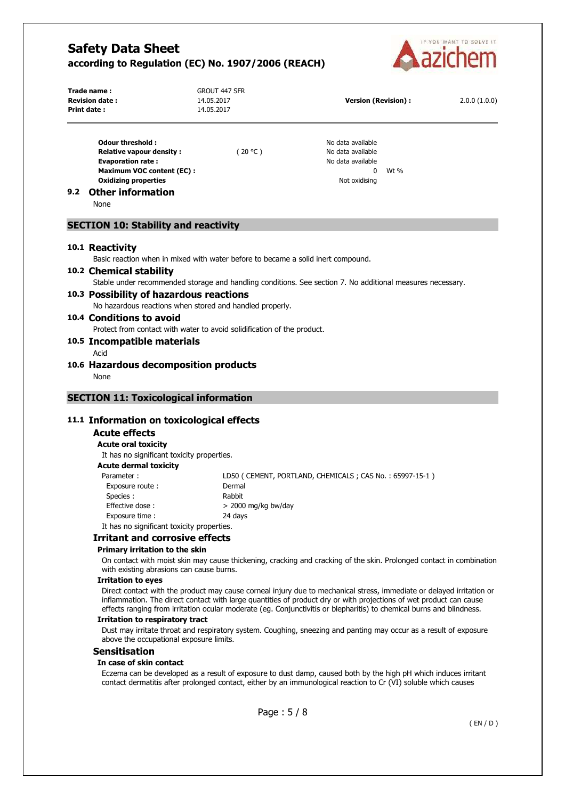

|     | Trade name:<br><b>Revision date:</b><br>Print date:                               | <b>GROUT 447 SFR</b><br>14.05.2017<br>14.05.2017                                 | <b>Version (Revision):</b>                                                                                                                                                                                                                                                                                                                                          | 2.0.0(1.0.0) |
|-----|-----------------------------------------------------------------------------------|----------------------------------------------------------------------------------|---------------------------------------------------------------------------------------------------------------------------------------------------------------------------------------------------------------------------------------------------------------------------------------------------------------------------------------------------------------------|--------------|
|     | Odour threshold:                                                                  |                                                                                  | No data available                                                                                                                                                                                                                                                                                                                                                   |              |
|     | <b>Relative vapour density:</b>                                                   | (20 °C)                                                                          | No data available                                                                                                                                                                                                                                                                                                                                                   |              |
|     | <b>Evaporation rate:</b>                                                          |                                                                                  | No data available<br>$\mathbf{0}$<br>Wt %                                                                                                                                                                                                                                                                                                                           |              |
|     | <b>Maximum VOC content (EC):</b><br><b>Oxidizing properties</b>                   |                                                                                  | Not oxidising                                                                                                                                                                                                                                                                                                                                                       |              |
| 9.2 | <b>Other information</b><br>None                                                  |                                                                                  |                                                                                                                                                                                                                                                                                                                                                                     |              |
|     | <b>SECTION 10: Stability and reactivity</b>                                       |                                                                                  |                                                                                                                                                                                                                                                                                                                                                                     |              |
|     | 10.1 Reactivity                                                                   |                                                                                  |                                                                                                                                                                                                                                                                                                                                                                     |              |
|     |                                                                                   | Basic reaction when in mixed with water before to became a solid inert compound. |                                                                                                                                                                                                                                                                                                                                                                     |              |
|     | 10.2 Chemical stability                                                           |                                                                                  |                                                                                                                                                                                                                                                                                                                                                                     |              |
|     |                                                                                   |                                                                                  | Stable under recommended storage and handling conditions. See section 7. No additional measures necessary.                                                                                                                                                                                                                                                          |              |
|     | 10.3 Possibility of hazardous reactions                                           |                                                                                  |                                                                                                                                                                                                                                                                                                                                                                     |              |
|     |                                                                                   | No hazardous reactions when stored and handled properly.                         |                                                                                                                                                                                                                                                                                                                                                                     |              |
|     | 10.4 Conditions to avoid                                                          |                                                                                  |                                                                                                                                                                                                                                                                                                                                                                     |              |
|     |                                                                                   | Protect from contact with water to avoid solidification of the product.          |                                                                                                                                                                                                                                                                                                                                                                     |              |
|     | 10.5 Incompatible materials                                                       |                                                                                  |                                                                                                                                                                                                                                                                                                                                                                     |              |
|     | Acid                                                                              |                                                                                  |                                                                                                                                                                                                                                                                                                                                                                     |              |
|     | 10.6 Hazardous decomposition products                                             |                                                                                  |                                                                                                                                                                                                                                                                                                                                                                     |              |
|     | None                                                                              |                                                                                  |                                                                                                                                                                                                                                                                                                                                                                     |              |
|     |                                                                                   |                                                                                  |                                                                                                                                                                                                                                                                                                                                                                     |              |
|     | <b>SECTION 11: Toxicological information</b>                                      |                                                                                  |                                                                                                                                                                                                                                                                                                                                                                     |              |
|     | 11.1 Information on toxicological effects                                         |                                                                                  |                                                                                                                                                                                                                                                                                                                                                                     |              |
|     | <b>Acute effects</b>                                                              |                                                                                  |                                                                                                                                                                                                                                                                                                                                                                     |              |
|     | <b>Acute oral toxicity</b>                                                        |                                                                                  |                                                                                                                                                                                                                                                                                                                                                                     |              |
|     | It has no significant toxicity properties.                                        |                                                                                  |                                                                                                                                                                                                                                                                                                                                                                     |              |
|     | <b>Acute dermal toxicity</b>                                                      |                                                                                  |                                                                                                                                                                                                                                                                                                                                                                     |              |
|     | Parameter:                                                                        | Dermal                                                                           | LD50 ( CEMENT, PORTLAND, CHEMICALS ; CAS No. : 65997-15-1 )                                                                                                                                                                                                                                                                                                         |              |
|     | Exposure route:<br>Species:                                                       | Rabbit                                                                           |                                                                                                                                                                                                                                                                                                                                                                     |              |
|     | Effective dose:                                                                   | $>$ 2000 mg/kg bw/day                                                            |                                                                                                                                                                                                                                                                                                                                                                     |              |
|     | Exposure time :                                                                   | 24 days                                                                          |                                                                                                                                                                                                                                                                                                                                                                     |              |
|     | It has no significant toxicity properties.                                        |                                                                                  |                                                                                                                                                                                                                                                                                                                                                                     |              |
|     | <b>Irritant and corrosive effects</b>                                             |                                                                                  |                                                                                                                                                                                                                                                                                                                                                                     |              |
|     | Primary irritation to the skin                                                    |                                                                                  |                                                                                                                                                                                                                                                                                                                                                                     |              |
|     | with existing abrasions can cause burns.                                          |                                                                                  | On contact with moist skin may cause thickening, cracking and cracking of the skin. Prolonged contact in combination                                                                                                                                                                                                                                                |              |
|     | <b>Irritation to eyes</b>                                                         |                                                                                  |                                                                                                                                                                                                                                                                                                                                                                     |              |
|     |                                                                                   |                                                                                  | Direct contact with the product may cause corneal injury due to mechanical stress, immediate or delayed irritation or<br>inflammation. The direct contact with large quantities of product dry or with projections of wet product can cause<br>effects ranging from irritation ocular moderate (eg. Conjunctivitis or blepharitis) to chemical burns and blindness. |              |
|     | <b>Irritation to respiratory tract</b><br>above the occupational exposure limits. |                                                                                  | Dust may irritate throat and respiratory system. Coughing, sneezing and panting may occur as a result of exposure                                                                                                                                                                                                                                                   |              |
|     | <b>Sensitisation</b>                                                              |                                                                                  |                                                                                                                                                                                                                                                                                                                                                                     |              |
|     | In case of skin contact                                                           |                                                                                  |                                                                                                                                                                                                                                                                                                                                                                     |              |
|     |                                                                                   |                                                                                  | Eczema can be developed as a result of exposure to dust damp, caused both by the high pH which induces irritant<br>contact dermatitis after prolonged contact, either by an immunological reaction to Cr (VI) soluble which causes                                                                                                                                  |              |
|     |                                                                                   | Page: 5 / 8                                                                      |                                                                                                                                                                                                                                                                                                                                                                     |              |

( EN / D )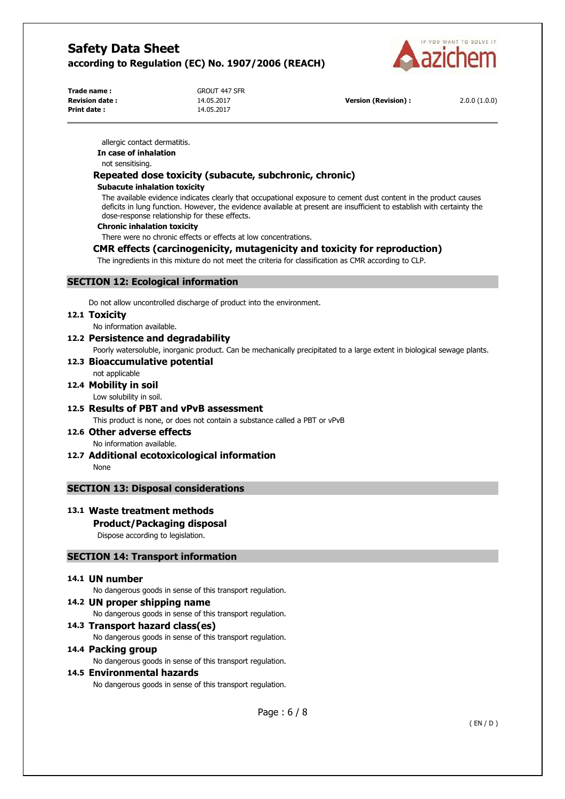

**Trade name :** GROUT 447 SFR **Print date :** 14.05.2017

**Revision date :** 14.05.2017 **Version (Revision) :** 2.0.0 (1.0.0)

allergic contact dermatitis.

**In case of inhalation** 

not sensitising.

# **Repeated dose toxicity (subacute, subchronic, chronic)**

#### **Subacute inhalation toxicity**

The available evidence indicates clearly that occupational exposure to cement dust content in the product causes deficits in lung function. However, the evidence available at present are insufficient to establish with certainty the dose-response relationship for these effects.

#### **Chronic inhalation toxicity**

There were no chronic effects or effects at low concentrations.

# **CMR effects (carcinogenicity, mutagenicity and toxicity for reproduction)**

The ingredients in this mixture do not meet the criteria for classification as CMR according to CLP.

# **SECTION 12: Ecological information**

Do not allow uncontrolled discharge of product into the environment.

#### **12.1 Toxicity**

No information available.

**12.2 Persistence and degradability** 

Poorly watersoluble, inorganic product. Can be mechanically precipitated to a large extent in biological sewage plants.

#### **12.3 Bioaccumulative potential**

# not applicable

**12.4 Mobility in soil** 

Low solubility in soil.

# **12.5 Results of PBT and vPvB assessment**

This product is none, or does not contain a substance called a PBT or vPvB

**12.6 Other adverse effects**  No information available.

**12.7 Additional ecotoxicological information**  None

# **SECTION 13: Disposal considerations**

### **13.1 Waste treatment methods**

### **Product/Packaging disposal**

Dispose according to legislation.

### **SECTION 14: Transport information**

### **14.1 UN number**

No dangerous goods in sense of this transport regulation.

**14.2 UN proper shipping name**  No dangerous goods in sense of this transport regulation. **14.3 Transport hazard class(es)** 

No dangerous goods in sense of this transport regulation.

### **14.4 Packing group**

No dangerous goods in sense of this transport regulation.

### **14.5 Environmental hazards**

No dangerous goods in sense of this transport regulation.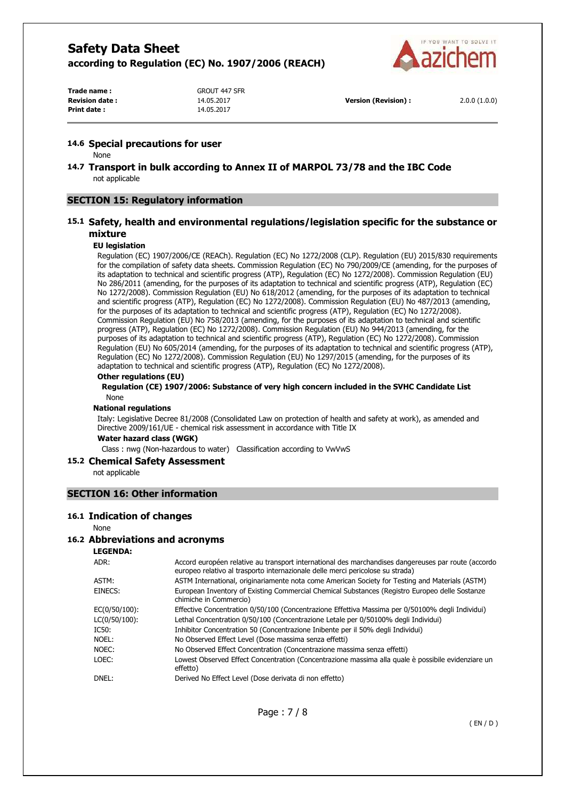

**Print date :** 14.05.2017

**Trade name :** GROUT 447 SFR

#### **14.6 Special precautions for user**

None

**14.7 Transport in bulk according to Annex II of MARPOL 73/78 and the IBC Code**  not applicable

#### **SECTION 15: Regulatory information**

### **15.1 Safety, health and environmental regulations/legislation specific for the substance or mixture**

#### **EU legislation**

Regulation (EC) 1907/2006/CE (REACh). Regulation (EC) No 1272/2008 (CLP). Regulation (EU) 2015/830 requirements for the compilation of safety data sheets. Commission Regulation (EC) No 790/2009/CE (amending, for the purposes of its adaptation to technical and scientific progress (ATP), Regulation (EC) No 1272/2008). Commission Regulation (EU) No 286/2011 (amending, for the purposes of its adaptation to technical and scientific progress (ATP), Regulation (EC) No 1272/2008). Commission Regulation (EU) No 618/2012 (amending, for the purposes of its adaptation to technical and scientific progress (ATP), Regulation (EC) No 1272/2008). Commission Regulation (EU) No 487/2013 (amending, for the purposes of its adaptation to technical and scientific progress (ATP), Regulation (EC) No 1272/2008). Commission Regulation (EU) No 758/2013 (amending, for the purposes of its adaptation to technical and scientific progress (ATP), Regulation (EC) No 1272/2008). Commission Regulation (EU) No 944/2013 (amending, for the purposes of its adaptation to technical and scientific progress (ATP), Regulation (EC) No 1272/2008). Commission Regulation (EU) No 605/2014 (amending, for the purposes of its adaptation to technical and scientific progress (ATP), Regulation (EC) No 1272/2008). Commission Regulation (EU) No 1297/2015 (amending, for the purposes of its adaptation to technical and scientific progress (ATP), Regulation (EC) No 1272/2008).

#### **Other regulations (EU)**

**Regulation (CE) 1907/2006: Substance of very high concern included in the SVHC Candidate List**  None

#### **National regulations**

Italy: Legislative Decree 81/2008 (Consolidated Law on protection of health and safety at work), as amended and Directive 2009/161/UE - chemical risk assessment in accordance with Title IX

**Water hazard class (WGK)** 

Class : nwg (Non-hazardous to water) Classification according to VwVwS

#### **15.2 Chemical Safety Assessment**

not applicable

### **SECTION 16: Other information**

#### **16.1 Indication of changes**

#### None

#### **16.2 Abbreviations and acronyms**

**LEGENDA:**

| ADR:          | Accord européen relative au transport international des marchandises dangereuses par route (accordo<br>europeo relativo al trasporto internazionale delle merci pericolose su strada) |
|---------------|---------------------------------------------------------------------------------------------------------------------------------------------------------------------------------------|
| ASTM:         | ASTM International, originariamente nota come American Society for Testing and Materials (ASTM)                                                                                       |
| EINECS:       | European Inventory of Existing Commercial Chemical Substances (Registro Europeo delle Sostanze<br>chimiche in Commercio)                                                              |
| EC(0/50/100): | Effective Concentration 0/50/100 (Concentrazione Effettiva Massima per 0/50100% degli Individui)                                                                                      |
| LC(0/50/100): | Lethal Concentration 0/50/100 (Concentrazione Letale per 0/50100% degli Individui)                                                                                                    |
| IC50:         | Inhibitor Concentration 50 (Concentrazione Inibente per il 50% degli Individui)                                                                                                       |
| NOEL:         | No Observed Effect Level (Dose massima senza effetti)                                                                                                                                 |
| NOEC:         | No Observed Effect Concentration (Concentrazione massima senza effetti)                                                                                                               |
| LOEC:         | Lowest Observed Effect Concentration (Concentrazione massima alla quale è possibile evidenziare un<br>effetto)                                                                        |
| DNEL:         | Derived No Effect Level (Dose derivata di non effetto)                                                                                                                                |
|               |                                                                                                                                                                                       |